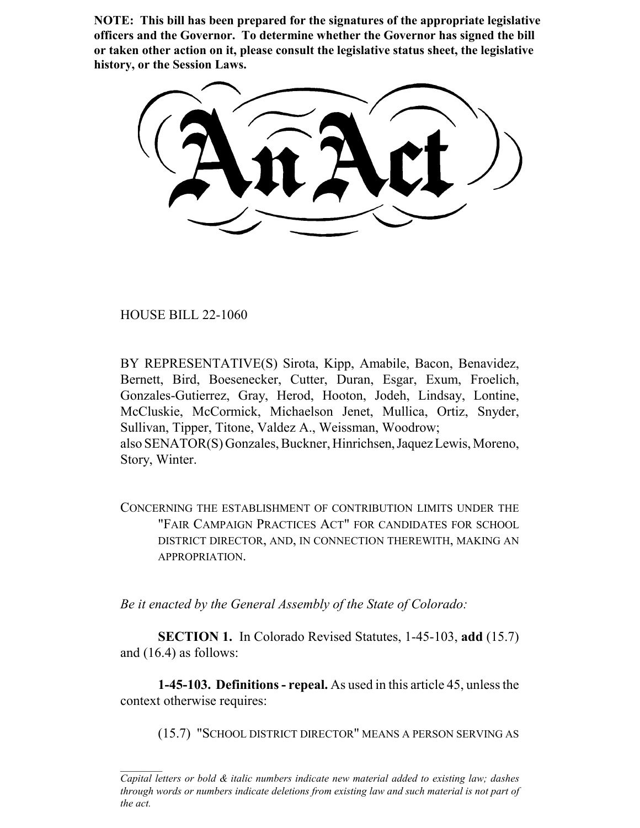**NOTE: This bill has been prepared for the signatures of the appropriate legislative officers and the Governor. To determine whether the Governor has signed the bill or taken other action on it, please consult the legislative status sheet, the legislative history, or the Session Laws.**

HOUSE BILL 22-1060

BY REPRESENTATIVE(S) Sirota, Kipp, Amabile, Bacon, Benavidez, Bernett, Bird, Boesenecker, Cutter, Duran, Esgar, Exum, Froelich, Gonzales-Gutierrez, Gray, Herod, Hooton, Jodeh, Lindsay, Lontine, McCluskie, McCormick, Michaelson Jenet, Mullica, Ortiz, Snyder, Sullivan, Tipper, Titone, Valdez A., Weissman, Woodrow; also SENATOR(S) Gonzales, Buckner, Hinrichsen, Jaquez Lewis, Moreno, Story, Winter.

CONCERNING THE ESTABLISHMENT OF CONTRIBUTION LIMITS UNDER THE "FAIR CAMPAIGN PRACTICES ACT" FOR CANDIDATES FOR SCHOOL DISTRICT DIRECTOR, AND, IN CONNECTION THEREWITH, MAKING AN APPROPRIATION.

*Be it enacted by the General Assembly of the State of Colorado:*

**SECTION 1.** In Colorado Revised Statutes, 1-45-103, **add** (15.7) and (16.4) as follows:

**1-45-103. Definitions - repeal.** As used in this article 45, unless the context otherwise requires:

(15.7) "SCHOOL DISTRICT DIRECTOR" MEANS A PERSON SERVING AS

*Capital letters or bold & italic numbers indicate new material added to existing law; dashes through words or numbers indicate deletions from existing law and such material is not part of the act.*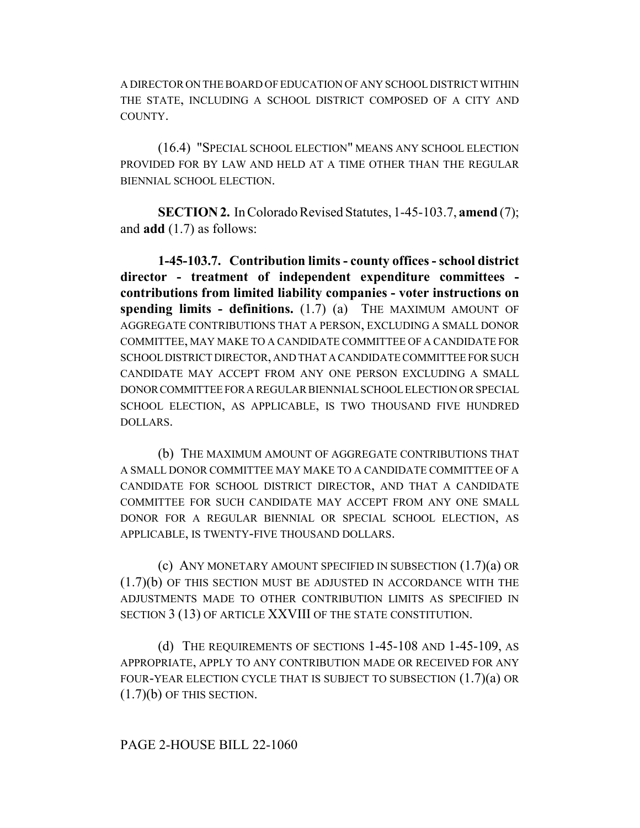A DIRECTOR ON THE BOARD OF EDUCATION OF ANY SCHOOL DISTRICT WITHIN THE STATE, INCLUDING A SCHOOL DISTRICT COMPOSED OF A CITY AND COUNTY.

(16.4) "SPECIAL SCHOOL ELECTION" MEANS ANY SCHOOL ELECTION PROVIDED FOR BY LAW AND HELD AT A TIME OTHER THAN THE REGULAR BIENNIAL SCHOOL ELECTION.

**SECTION 2.** In Colorado Revised Statutes, 1-45-103.7, **amend** (7); and **add** (1.7) as follows:

**1-45-103.7. Contribution limits - county offices - school district director - treatment of independent expenditure committees contributions from limited liability companies - voter instructions on spending limits - definitions.** (1.7) (a) THE MAXIMUM AMOUNT OF AGGREGATE CONTRIBUTIONS THAT A PERSON, EXCLUDING A SMALL DONOR COMMITTEE, MAY MAKE TO A CANDIDATE COMMITTEE OF A CANDIDATE FOR SCHOOL DISTRICT DIRECTOR, AND THAT A CANDIDATE COMMITTEE FOR SUCH CANDIDATE MAY ACCEPT FROM ANY ONE PERSON EXCLUDING A SMALL DONOR COMMITTEE FOR A REGULAR BIENNIAL SCHOOL ELECTION OR SPECIAL SCHOOL ELECTION, AS APPLICABLE, IS TWO THOUSAND FIVE HUNDRED DOLLARS.

(b) THE MAXIMUM AMOUNT OF AGGREGATE CONTRIBUTIONS THAT A SMALL DONOR COMMITTEE MAY MAKE TO A CANDIDATE COMMITTEE OF A CANDIDATE FOR SCHOOL DISTRICT DIRECTOR, AND THAT A CANDIDATE COMMITTEE FOR SUCH CANDIDATE MAY ACCEPT FROM ANY ONE SMALL DONOR FOR A REGULAR BIENNIAL OR SPECIAL SCHOOL ELECTION, AS APPLICABLE, IS TWENTY-FIVE THOUSAND DOLLARS.

(c) ANY MONETARY AMOUNT SPECIFIED IN SUBSECTION (1.7)(a) OR (1.7)(b) OF THIS SECTION MUST BE ADJUSTED IN ACCORDANCE WITH THE ADJUSTMENTS MADE TO OTHER CONTRIBUTION LIMITS AS SPECIFIED IN SECTION 3 (13) OF ARTICLE XXVIII OF THE STATE CONSTITUTION.

(d) THE REQUIREMENTS OF SECTIONS 1-45-108 AND 1-45-109, AS APPROPRIATE, APPLY TO ANY CONTRIBUTION MADE OR RECEIVED FOR ANY FOUR-YEAR ELECTION CYCLE THAT IS SUBJECT TO SUBSECTION (1.7)(a) OR  $(1.7)(b)$  OF THIS SECTION.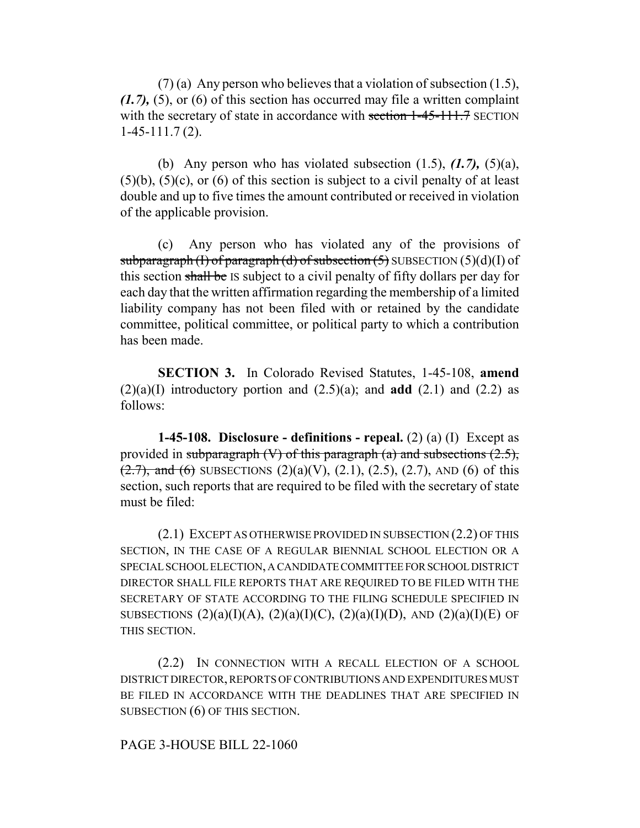(7) (a) Any person who believes that a violation of subsection (1.5), *(1.7),* (5), or (6) of this section has occurred may file a written complaint with the secretary of state in accordance with section 1-45-111.7 SECTION 1-45-111.7 (2).

(b) Any person who has violated subsection (1.5), *(1.7),* (5)(a),  $(5)(b)$ ,  $(5)(c)$ , or  $(6)$  of this section is subject to a civil penalty of at least double and up to five times the amount contributed or received in violation of the applicable provision.

(c) Any person who has violated any of the provisions of subparagraph (I) of paragraph (d) of subsection  $(5)$  SUBSECTION  $(5)(d)(I)$  of this section shall be IS subject to a civil penalty of fifty dollars per day for each day that the written affirmation regarding the membership of a limited liability company has not been filed with or retained by the candidate committee, political committee, or political party to which a contribution has been made.

**SECTION 3.** In Colorado Revised Statutes, 1-45-108, **amend**  $(2)(a)(I)$  introductory portion and  $(2.5)(a)$ ; and **add**  $(2.1)$  and  $(2.2)$  as follows:

**1-45-108. Disclosure - definitions - repeal.** (2) (a) (I) Except as provided in subparagraph  $(V)$  of this paragraph  $(a)$  and subsections  $(2.5)$ ,  $(2.7)$ , and  $(6)$  SUBSECTIONS  $(2)(a)(V)$ ,  $(2.1)$ ,  $(2.5)$ ,  $(2.7)$ , AND  $(6)$  of this section, such reports that are required to be filed with the secretary of state must be filed:

(2.1) EXCEPT AS OTHERWISE PROVIDED IN SUBSECTION (2.2) OF THIS SECTION, IN THE CASE OF A REGULAR BIENNIAL SCHOOL ELECTION OR A SPECIAL SCHOOL ELECTION, A CANDIDATE COMMITTEE FOR SCHOOL DISTRICT DIRECTOR SHALL FILE REPORTS THAT ARE REQUIRED TO BE FILED WITH THE SECRETARY OF STATE ACCORDING TO THE FILING SCHEDULE SPECIFIED IN SUBSECTIONS  $(2)(a)(I)(A), (2)(a)(I)(C), (2)(a)(I)(D),$  AND  $(2)(a)(I)(E)$  OF THIS SECTION.

(2.2) IN CONNECTION WITH A RECALL ELECTION OF A SCHOOL DISTRICT DIRECTOR, REPORTS OF CONTRIBUTIONS AND EXPENDITURES MUST BE FILED IN ACCORDANCE WITH THE DEADLINES THAT ARE SPECIFIED IN SUBSECTION (6) OF THIS SECTION.

## PAGE 3-HOUSE BILL 22-1060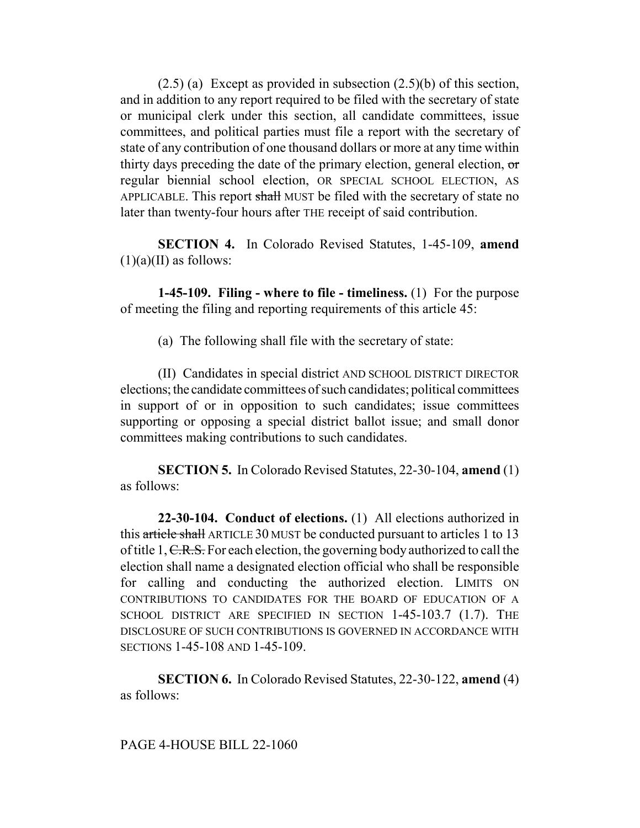$(2.5)$  (a) Except as provided in subsection  $(2.5)$ (b) of this section, and in addition to any report required to be filed with the secretary of state or municipal clerk under this section, all candidate committees, issue committees, and political parties must file a report with the secretary of state of any contribution of one thousand dollars or more at any time within thirty days preceding the date of the primary election, general election, or regular biennial school election, OR SPECIAL SCHOOL ELECTION, AS APPLICABLE. This report shall MUST be filed with the secretary of state no later than twenty-four hours after THE receipt of said contribution.

**SECTION 4.** In Colorado Revised Statutes, 1-45-109, **amend**  $(1)(a)(II)$  as follows:

**1-45-109. Filing - where to file - timeliness.** (1) For the purpose of meeting the filing and reporting requirements of this article 45:

(a) The following shall file with the secretary of state:

(II) Candidates in special district AND SCHOOL DISTRICT DIRECTOR elections; the candidate committees of such candidates; political committees in support of or in opposition to such candidates; issue committees supporting or opposing a special district ballot issue; and small donor committees making contributions to such candidates.

**SECTION 5.** In Colorado Revised Statutes, 22-30-104, **amend** (1) as follows:

**22-30-104. Conduct of elections.** (1) All elections authorized in this article shall ARTICLE 30 MUST be conducted pursuant to articles 1 to 13 of title 1, C.R.S. For each election, the governing body authorized to call the election shall name a designated election official who shall be responsible for calling and conducting the authorized election. LIMITS ON CONTRIBUTIONS TO CANDIDATES FOR THE BOARD OF EDUCATION OF A SCHOOL DISTRICT ARE SPECIFIED IN SECTION 1-45-103.7 (1.7). THE DISCLOSURE OF SUCH CONTRIBUTIONS IS GOVERNED IN ACCORDANCE WITH SECTIONS 1-45-108 AND 1-45-109.

**SECTION 6.** In Colorado Revised Statutes, 22-30-122, **amend** (4) as follows: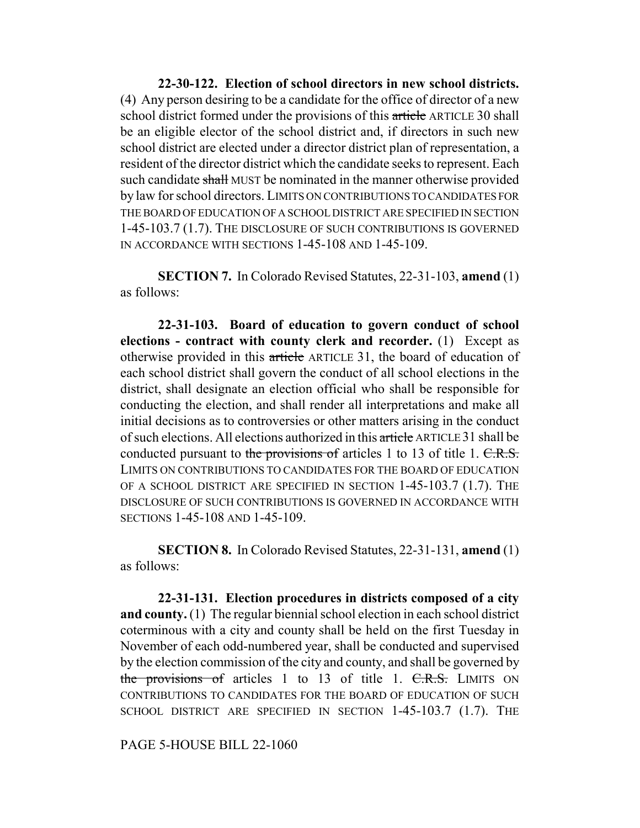**22-30-122. Election of school directors in new school districts.** (4) Any person desiring to be a candidate for the office of director of a new school district formed under the provisions of this article ARTICLE 30 shall be an eligible elector of the school district and, if directors in such new school district are elected under a director district plan of representation, a resident of the director district which the candidate seeks to represent. Each such candidate shall MUST be nominated in the manner otherwise provided by law for school directors. LIMITS ON CONTRIBUTIONS TO CANDIDATES FOR THE BOARD OF EDUCATION OF A SCHOOL DISTRICT ARE SPECIFIED IN SECTION 1-45-103.7 (1.7). THE DISCLOSURE OF SUCH CONTRIBUTIONS IS GOVERNED IN ACCORDANCE WITH SECTIONS 1-45-108 AND 1-45-109.

**SECTION 7.** In Colorado Revised Statutes, 22-31-103, **amend** (1) as follows:

**22-31-103. Board of education to govern conduct of school elections - contract with county clerk and recorder.** (1) Except as otherwise provided in this article ARTICLE 31, the board of education of each school district shall govern the conduct of all school elections in the district, shall designate an election official who shall be responsible for conducting the election, and shall render all interpretations and make all initial decisions as to controversies or other matters arising in the conduct of such elections. All elections authorized in this article ARTICLE 31 shall be conducted pursuant to the provisions of articles 1 to 13 of title 1. C.R.S. LIMITS ON CONTRIBUTIONS TO CANDIDATES FOR THE BOARD OF EDUCATION OF A SCHOOL DISTRICT ARE SPECIFIED IN SECTION 1-45-103.7 (1.7). THE DISCLOSURE OF SUCH CONTRIBUTIONS IS GOVERNED IN ACCORDANCE WITH SECTIONS 1-45-108 AND 1-45-109.

**SECTION 8.** In Colorado Revised Statutes, 22-31-131, **amend** (1) as follows:

**22-31-131. Election procedures in districts composed of a city and county.** (1) The regular biennial school election in each school district coterminous with a city and county shall be held on the first Tuesday in November of each odd-numbered year, shall be conducted and supervised by the election commission of the city and county, and shall be governed by the provisions of articles 1 to 13 of title 1. C.R.S. LIMITS ON CONTRIBUTIONS TO CANDIDATES FOR THE BOARD OF EDUCATION OF SUCH SCHOOL DISTRICT ARE SPECIFIED IN SECTION 1-45-103.7 (1.7). THE

PAGE 5-HOUSE BILL 22-1060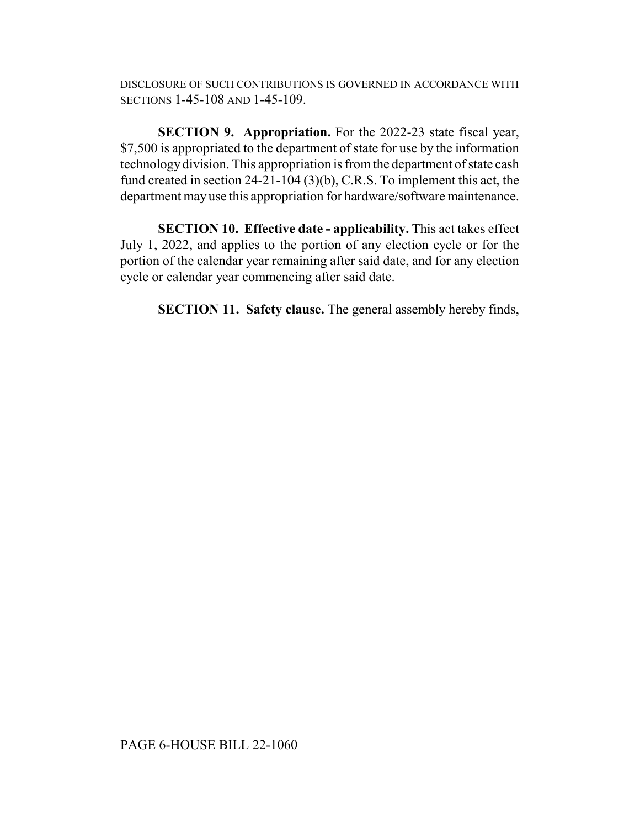DISCLOSURE OF SUCH CONTRIBUTIONS IS GOVERNED IN ACCORDANCE WITH SECTIONS 1-45-108 AND 1-45-109.

**SECTION 9. Appropriation.** For the 2022-23 state fiscal year, \$7,500 is appropriated to the department of state for use by the information technology division. This appropriation is from the department of state cash fund created in section 24-21-104 (3)(b), C.R.S. To implement this act, the department may use this appropriation for hardware/software maintenance.

**SECTION 10. Effective date - applicability.** This act takes effect July 1, 2022, and applies to the portion of any election cycle or for the portion of the calendar year remaining after said date, and for any election cycle or calendar year commencing after said date.

**SECTION 11. Safety clause.** The general assembly hereby finds,